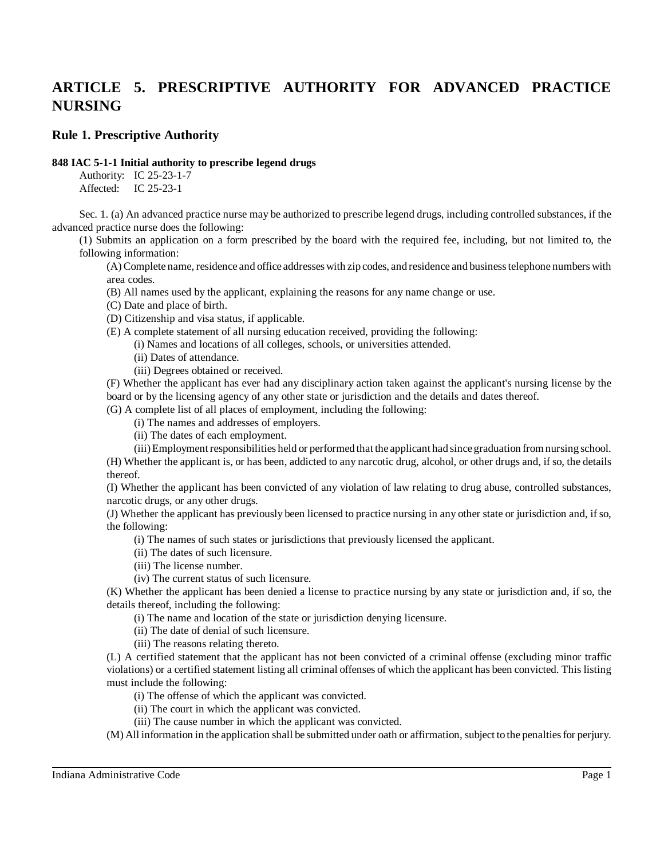# **ARTICLE 5. PRESCRIPTIVE AUTHORITY FOR ADVANCED PRACTICE NURSING**

# **Rule 1. Prescriptive Authority**

#### **848 IAC 5-1-1 Initial authority to prescribe legend drugs**

Authority: IC 25-23-1-7 Affected: IC 25-23-1

Sec. 1. (a) An advanced practice nurse may be authorized to prescribe legend drugs, including controlled substances, if the advanced practice nurse does the following:

(1) Submits an application on a form prescribed by the board with the required fee, including, but not limited to, the following information:

(A) Complete name, residence and office addresseswith zip codes, and residence and businesstelephone numbers with area codes.

(B) All names used by the applicant, explaining the reasons for any name change or use.

(C) Date and place of birth.

(D) Citizenship and visa status, if applicable.

(E) A complete statement of all nursing education received, providing the following:

(i) Names and locations of all colleges, schools, or universities attended.

(ii) Dates of attendance.

(iii) Degrees obtained or received.

(F) Whether the applicant has ever had any disciplinary action taken against the applicant's nursing license by the board or by the licensing agency of any other state or jurisdiction and the details and dates thereof.

(G) A complete list of all places of employment, including the following:

(i) The names and addresses of employers.

(ii) The dates of each employment.

(iii)Employmentresponsibilities held or performed that the applicant had since graduation fromnursing school. (H) Whether the applicant is, or has been, addicted to any narcotic drug, alcohol, or other drugs and, ifso, the details thereof.

(I) Whether the applicant has been convicted of any violation of law relating to drug abuse, controlled substances, narcotic drugs, or any other drugs.

(J) Whether the applicant has previously been licensed to practice nursing in any other state or jurisdiction and, ifso, the following:

(i) The names of such states or jurisdictions that previously licensed the applicant.

(ii) The dates of such licensure.

(iii) The license number.

(iv) The current status of such licensure.

(K) Whether the applicant has been denied a license to practice nursing by any state or jurisdiction and, if so, the details thereof, including the following:

(i) The name and location of the state or jurisdiction denying licensure.

(ii) The date of denial of such licensure.

(iii) The reasons relating thereto.

(L) A certified statement that the applicant has not been convicted of a criminal offense (excluding minor traffic violations) or a certified statement listing all criminal offenses of which the applicant has been convicted. This listing must include the following:

(i) The offense of which the applicant was convicted.

(ii) The court in which the applicant was convicted.

(iii) The cause number in which the applicant was convicted.

(M) All information in the application shall be submitted under oath or affirmation, subject to the penaltiesfor perjury.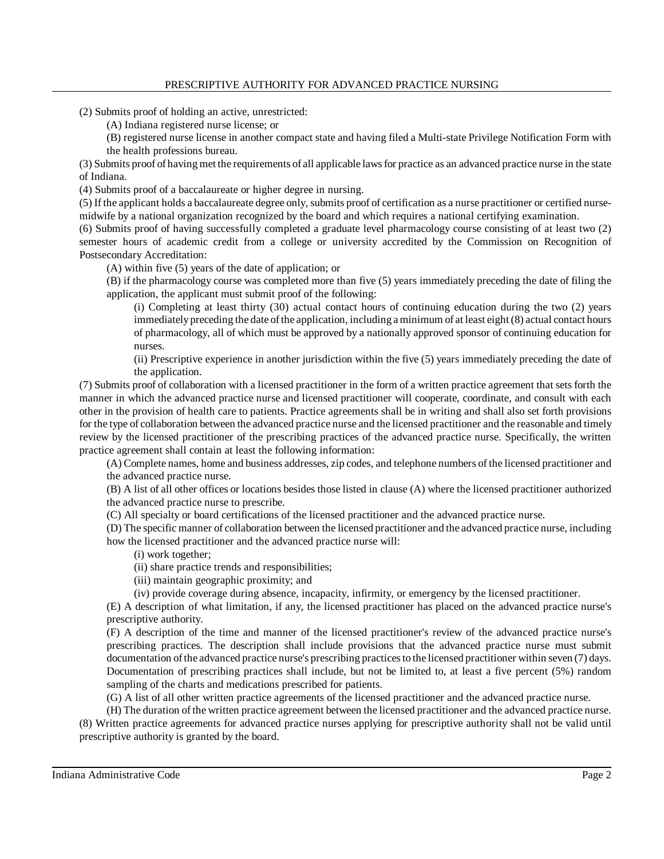(2) Submits proof of holding an active, unrestricted:

(A) Indiana registered nurse license; or

(B) registered nurse license in another compact state and having filed a Multi-state Privilege Notification Form with the health professions bureau.

(3) Submits proof of having met the requirements of all applicable lawsfor practice as an advanced practice nurse in the state of Indiana.

(4) Submits proof of a baccalaureate or higher degree in nursing.

(5) If the applicant holds a baccalaureate degree only, submits proof of certification as a nurse practitioner or certified nursemidwife by a national organization recognized by the board and which requires a national certifying examination.

(6) Submits proof of having successfully completed a graduate level pharmacology course consisting of at least two (2) semester hours of academic credit from a college or university accredited by the Commission on Recognition of Postsecondary Accreditation:

(A) within five (5) years of the date of application; or

(B) if the pharmacology course was completed more than five (5) years immediately preceding the date of filing the application, the applicant must submit proof of the following:

(i) Completing at least thirty (30) actual contact hours of continuing education during the two (2) years immediately preceding the date of the application, including a minimum of at least eight (8) actual contact hours of pharmacology, all of which must be approved by a nationally approved sponsor of continuing education for nurses.

(ii) Prescriptive experience in another jurisdiction within the five (5) years immediately preceding the date of the application.

(7) Submits proof of collaboration with a licensed practitioner in the form of a written practice agreement that sets forth the manner in which the advanced practice nurse and licensed practitioner will cooperate, coordinate, and consult with each other in the provision of health care to patients. Practice agreements shall be in writing and shall also set forth provisions for the type of collaboration between the advanced practice nurse and the licensed practitioner and the reasonable and timely review by the licensed practitioner of the prescribing practices of the advanced practice nurse. Specifically, the written practice agreement shall contain at least the following information:

(A) Complete names, home and business addresses, zip codes, and telephone numbers of the licensed practitioner and the advanced practice nurse.

(B) A list of all other offices or locations besides those listed in clause (A) where the licensed practitioner authorized the advanced practice nurse to prescribe.

(C) All specialty or board certifications of the licensed practitioner and the advanced practice nurse.

(D) The specific manner of collaboration between the licensed practitioner and the advanced practice nurse, including how the licensed practitioner and the advanced practice nurse will:

(i) work together;

(ii) share practice trends and responsibilities;

(iii) maintain geographic proximity; and

(iv) provide coverage during absence, incapacity, infirmity, or emergency by the licensed practitioner.

(E) A description of what limitation, if any, the licensed practitioner has placed on the advanced practice nurse's prescriptive authority.

(F) A description of the time and manner of the licensed practitioner's review of the advanced practice nurse's prescribing practices. The description shall include provisions that the advanced practice nurse must submit documentation of the advanced practice nurse's prescribing practices to the licensed practitioner within seven (7) days. Documentation of prescribing practices shall include, but not be limited to, at least a five percent (5%) random sampling of the charts and medications prescribed for patients.

(G) A list of all other written practice agreements of the licensed practitioner and the advanced practice nurse.

(H) The duration of the written practice agreement between the licensed practitioner and the advanced practice nurse. (8) Written practice agreements for advanced practice nurses applying for prescriptive authority shall not be valid until prescriptive authority is granted by the board.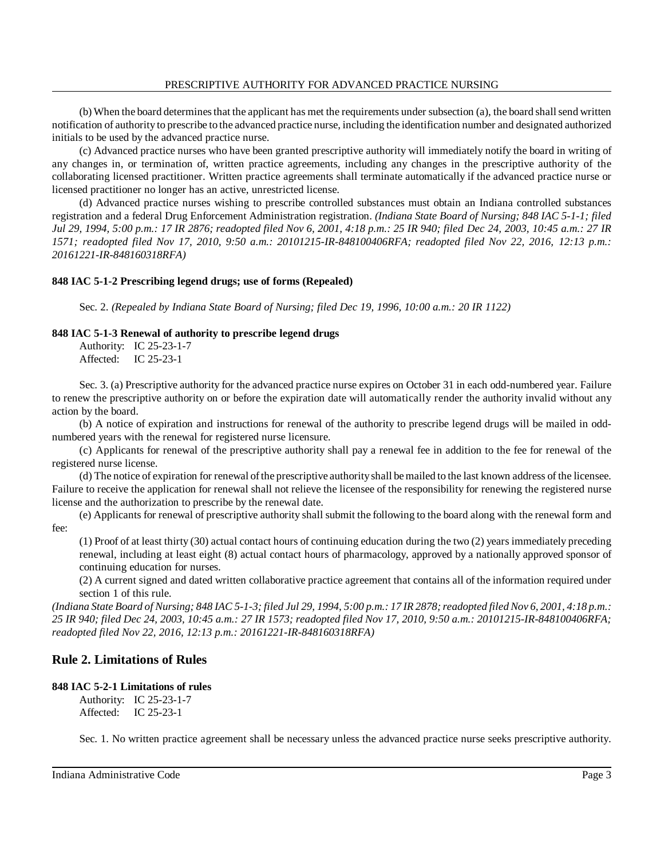(b) When the board determines that the applicant has met the requirements under subsection (a), the board shall send written notification of authority to prescribe to the advanced practice nurse, including the identification number and designated authorized initials to be used by the advanced practice nurse.

(c) Advanced practice nurses who have been granted prescriptive authority will immediately notify the board in writing of any changes in, or termination of, written practice agreements, including any changes in the prescriptive authority of the collaborating licensed practitioner. Written practice agreements shall terminate automatically if the advanced practice nurse or licensed practitioner no longer has an active, unrestricted license.

(d) Advanced practice nurses wishing to prescribe controlled substances must obtain an Indiana controlled substances registration and a federal Drug Enforcement Administration registration. *(Indiana State Board of Nursing; 848 IAC 5-1-1; filed Jul 29, 1994, 5:00 p.m.: 17 IR 2876; readopted filed Nov 6, 2001, 4:18 p.m.: 25 IR 940; filed Dec 24, 2003, 10:45 a.m.: 27 IR 1571; readopted filed Nov 17, 2010, 9:50 a.m.: 20101215-IR-848100406RFA; readopted filed Nov 22, 2016, 12:13 p.m.: 20161221-IR-848160318RFA)*

# **848 IAC 5-1-2 Prescribing legend drugs; use of forms (Repealed)**

Sec. 2. *(Repealed by Indiana State Board of Nursing; filed Dec 19, 1996, 10:00 a.m.: 20 IR 1122)*

## **848 IAC 5-1-3 Renewal of authority to prescribe legend drugs**

Authority: IC 25-23-1-7 Affected: IC 25-23-1

Sec. 3. (a) Prescriptive authority for the advanced practice nurse expires on October 31 in each odd-numbered year. Failure to renew the prescriptive authority on or before the expiration date will automatically render the authority invalid without any action by the board.

(b) A notice of expiration and instructions for renewal of the authority to prescribe legend drugs will be mailed in oddnumbered years with the renewal for registered nurse licensure.

(c) Applicants for renewal of the prescriptive authority shall pay a renewal fee in addition to the fee for renewal of the registered nurse license.

(d) The notice of expiration for renewal ofthe prescriptive authorityshall bemailed to the last known address of the licensee. Failure to receive the application for renewal shall not relieve the licensee of the responsibility for renewing the registered nurse license and the authorization to prescribe by the renewal date.

(e) Applicants for renewal of prescriptive authority shall submit the following to the board along with the renewal form and fee:

(1) Proof of at least thirty (30) actual contact hours of continuing education during the two (2) years immediately preceding renewal, including at least eight (8) actual contact hours of pharmacology, approved by a nationally approved sponsor of continuing education for nurses.

(2) A current signed and dated written collaborative practice agreement that contains all of the information required under section 1 of this rule.

(Indiana State Board of Nursing; 848 IAC 5-1-3; filed Jul 29, 1994, 5:00 p.m.: 17 IR 2878; readopted filed Nov 6, 2001, 4:18 p.m.: 25 IR 940; filed Dec 24, 2003, 10:45 a.m.: 27 IR 1573; readopted filed Nov 17, 2010, 9:50 a.m.: 20101215-IR-848100406RFA; *readopted filed Nov 22, 2016, 12:13 p.m.: 20161221-IR-848160318RFA)*

# **Rule 2. Limitations of Rules**

## **848 IAC 5-2-1 Limitations of rules**

Authority: IC 25-23-1-7 Affected: IC 25-23-1

Sec. 1. No written practice agreement shall be necessary unless the advanced practice nurse seeks prescriptive authority.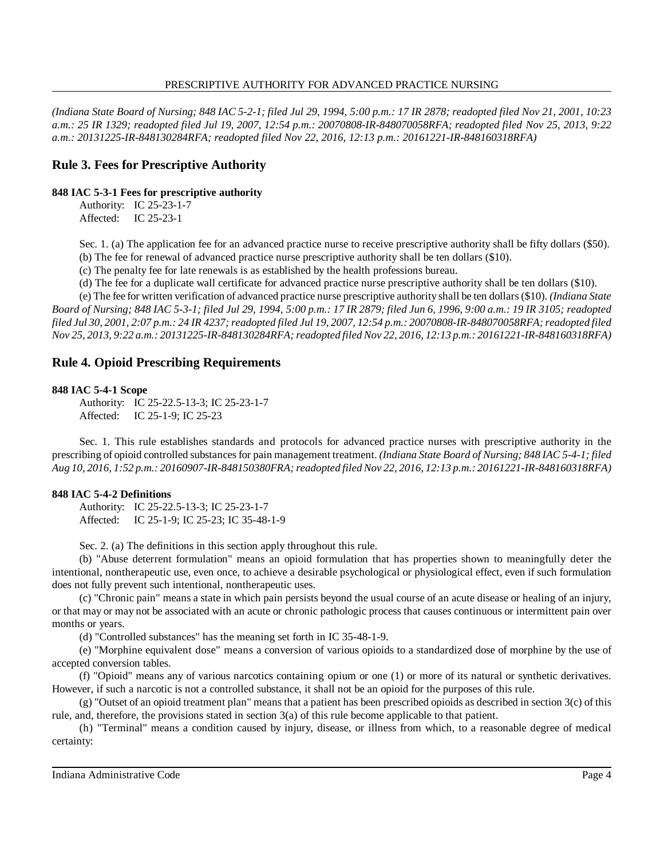#### PRESCRIPTIVE AUTHORITY FOR ADVANCED PRACTICE NURSING

(Indiana State Board of Nursing; 848 IAC 5-2-1; filed Jul 29, 1994, 5:00 p.m.: 17 IR 2878; readopted filed Nov 21, 2001, 10:23 *a.m.: 25 IR 1329; readopted filed Jul 19, 2007, 12:54 p.m.: 20070808-IR-848070058RFA; readopted filed Nov 25, 2013, 9:22 a.m.: 20131225-IR-848130284RFA; readopted filed Nov 22, 2016, 12:13 p.m.: 20161221-IR-848160318RFA)*

# **Rule 3. Fees for Prescriptive Authority**

## **848 IAC 5-3-1 Fees for prescriptive authority**

Authority: IC 25-23-1-7 Affected: IC 25-23-1

Sec. 1. (a) The application fee for an advanced practice nurse to receive prescriptive authority shall be fifty dollars (\$50). (b) The fee for renewal of advanced practice nurse prescriptive authority shall be ten dollars (\$10).

(c) The penalty fee for late renewals is as established by the health professions bureau.

(d) The fee for a duplicate wall certificate for advanced practice nurse prescriptive authority shall be ten dollars (\$10).

(e) The fee for written verification of advanced practice nurse prescriptive authority shall be ten dollars(\$10). *(Indiana State* Board of Nursing; 848 IAC 5-3-1; filed Jul 29, 1994, 5:00 p.m.: 17 IR 2879; filed Jun 6, 1996, 9:00 a.m.: 19 IR 3105; readopted filed Jul 30, 2001, 2:07 p.m.: 24 IR 4237; readopted filed Jul 19, 2007, 12:54 p.m.: 20070808-IR-848070058RFA; readopted filed *Nov 25, 2013, 9:22 a.m.: 20131225-IR-848130284RFA;readopted filed Nov 22, 2016, 12:13 p.m.: 20161221-IR-848160318RFA)*

# **Rule 4. Opioid Prescribing Requirements**

## **848 IAC 5-4-1 Scope**

Authority: IC 25-22.5-13-3; IC 25-23-1-7 Affected: IC 25-1-9; IC 25-23

Sec. 1. This rule establishes standards and protocols for advanced practice nurses with prescriptive authority in the prescribing of opioid controlled substancesfor pain management treatment. *(Indiana State Board of Nursing; 848 IAC 5-4-1; filed Aug 10, 2016, 1:52 p.m.: 20160907-IR-848150380FRA;readopted filed Nov 22, 2016, 12:13 p.m.: 20161221-IR-848160318RFA)*

## **848 IAC 5-4-2 Definitions**

Authority: IC 25-22.5-13-3; IC 25-23-1-7 Affected: IC 25-1-9; IC 25-23; IC 35-48-1-9

Sec. 2. (a) The definitions in this section apply throughout this rule.

(b) "Abuse deterrent formulation" means an opioid formulation that has properties shown to meaningfully deter the intentional, nontherapeutic use, even once, to achieve a desirable psychological or physiological effect, even if such formulation does not fully prevent such intentional, nontherapeutic uses.

(c) "Chronic pain" means a state in which pain persists beyond the usual course of an acute disease or healing of an injury, or that may or may not be associated with an acute or chronic pathologic process that causes continuous or intermittent pain over months or years.

(d) "Controlled substances" has the meaning set forth in IC 35-48-1-9.

(e) "Morphine equivalent dose" means a conversion of various opioids to a standardized dose of morphine by the use of accepted conversion tables.

(f) "Opioid" means any of various narcotics containing opium or one (1) or more of its natural or synthetic derivatives. However, if such a narcotic is not a controlled substance, it shall not be an opioid for the purposes of this rule.

(g) "Outset of an opioid treatment plan" means that a patient has been prescribed opioids as described in section 3(c) of this rule, and, therefore, the provisions stated in section 3(a) of this rule become applicable to that patient.

(h) "Terminal" means a condition caused by injury, disease, or illness from which, to a reasonable degree of medical certainty: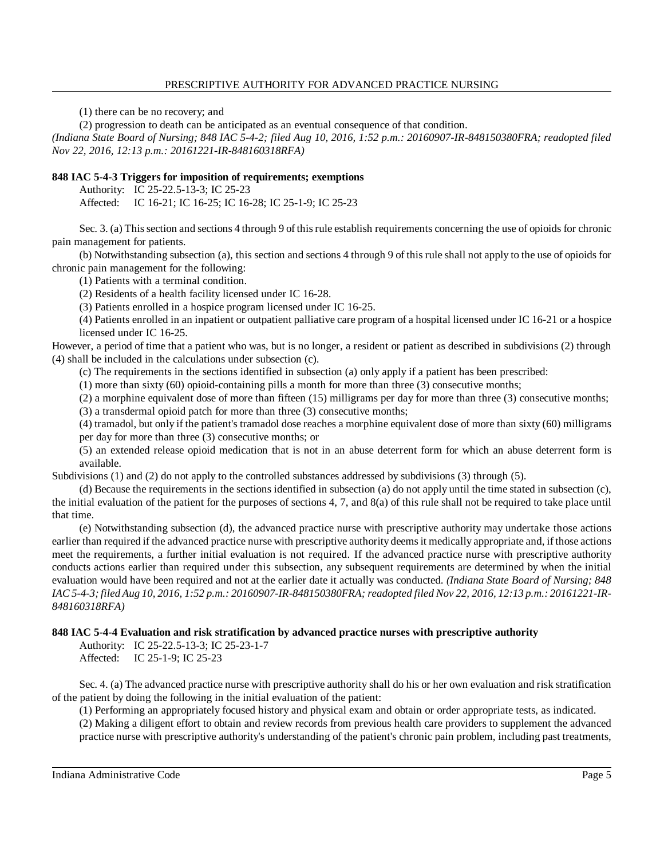#### PRESCRIPTIVE AUTHORITY FOR ADVANCED PRACTICE NURSING

(1) there can be no recovery; and

(2) progression to death can be anticipated as an eventual consequence of that condition.

*(Indiana State Board of Nursing; 848 IAC 5-4-2; filed Aug 10, 2016, 1:52 p.m.: 20160907-IR-848150380FRA; readopted filed Nov 22, 2016, 12:13 p.m.: 20161221-IR-848160318RFA)*

#### **848 IAC 5-4-3 Triggers for imposition of requirements; exemptions**

Authority: IC 25-22.5-13-3; IC 25-23

Affected: IC 16-21; IC 16-25; IC 16-28; IC 25-1-9; IC 25-23

Sec. 3. (a) Thissection and sections 4 through 9 of thisrule establish requirements concerning the use of opioids for chronic pain management for patients.

(b) Notwithstanding subsection (a), this section and sections 4 through 9 of this rule shall not apply to the use of opioids for chronic pain management for the following:

(1) Patients with a terminal condition.

(2) Residents of a health facility licensed under IC 16-28.

(3) Patients enrolled in a hospice program licensed under IC 16-25.

(4) Patients enrolled in an inpatient or outpatient palliative care program of a hospital licensed under IC 16-21 or a hospice licensed under IC 16-25.

However, a period of time that a patient who was, but is no longer, a resident or patient as described in subdivisions (2) through (4) shall be included in the calculations under subsection (c).

(c) The requirements in the sections identified in subsection (a) only apply if a patient has been prescribed:

(1) more than sixty (60) opioid-containing pills a month for more than three (3) consecutive months;

(2) a morphine equivalent dose of more than fifteen (15) milligrams per day for more than three (3) consecutive months;

(3) a transdermal opioid patch for more than three (3) consecutive months;

(4) tramadol, but only if the patient's tramadol dose reaches a morphine equivalent dose of more than sixty (60) milligrams per day for more than three (3) consecutive months; or

(5) an extended release opioid medication that is not in an abuse deterrent form for which an abuse deterrent form is available.

Subdivisions (1) and (2) do not apply to the controlled substances addressed by subdivisions (3) through (5).

(d) Because the requirements in the sections identified in subsection (a) do not apply until the time stated in subsection (c), the initial evaluation of the patient for the purposes of sections 4, 7, and 8(a) of this rule shall not be required to take place until that time.

(e) Notwithstanding subsection (d), the advanced practice nurse with prescriptive authority may undertake those actions earlier than required if the advanced practice nurse with prescriptive authority deemsit medically appropriate and, if those actions meet the requirements, a further initial evaluation is not required. If the advanced practice nurse with prescriptive authority conducts actions earlier than required under this subsection, any subsequent requirements are determined by when the initial evaluation would have been required and not at the earlier date it actually was conducted. *(Indiana State Board of Nursing; 848* IAC 5-4-3; filed Aug 10, 2016, 1:52 p.m.: 20160907-IR-848150380FRA; readopted filed Nov 22, 2016, 12:13 p.m.: 20161221-IR-*848160318RFA)*

## **848 IAC 5-4-4 Evaluation and risk stratification by advanced practice nurses with prescriptive authority**

Authority: IC 25-22.5-13-3; IC 25-23-1-7 Affected: IC 25-1-9; IC 25-23

Sec. 4. (a) The advanced practice nurse with prescriptive authority shall do his or her own evaluation and risk stratification of the patient by doing the following in the initial evaluation of the patient:

(1) Performing an appropriately focused history and physical exam and obtain or order appropriate tests, as indicated. (2) Making a diligent effort to obtain and review records from previous health care providers to supplement the advanced practice nurse with prescriptive authority's understanding of the patient's chronic pain problem, including past treatments,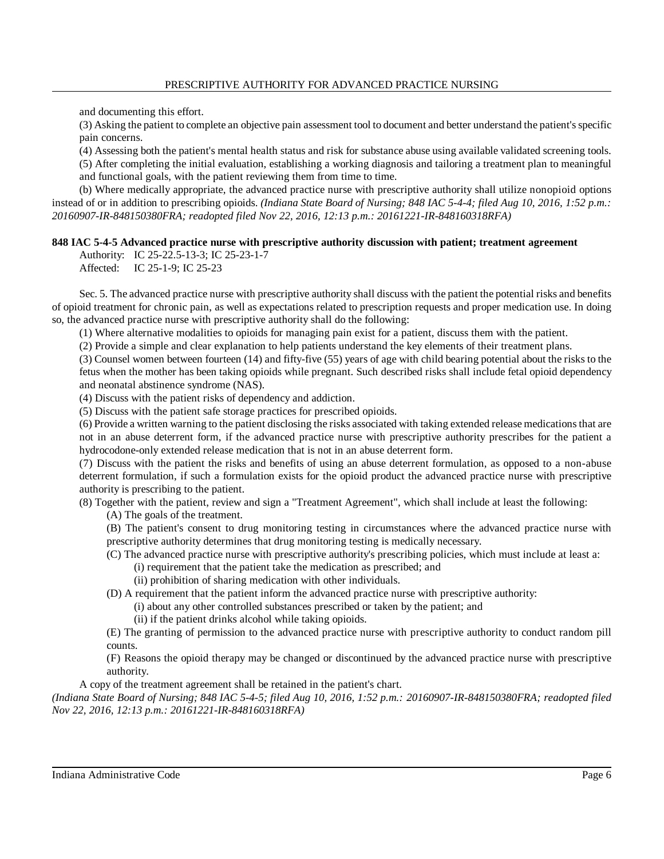and documenting this effort.

(3) Asking the patient to complete an objective pain assessment tool to document and better understand the patient'sspecific pain concerns.

(4) Assessing both the patient's mental health status and risk for substance abuse using available validated screening tools.

(5) After completing the initial evaluation, establishing a working diagnosis and tailoring a treatment plan to meaningful and functional goals, with the patient reviewing them from time to time.

(b) Where medically appropriate, the advanced practice nurse with prescriptive authority shall utilize nonopioid options instead of or in addition to prescribing opioids. *(Indiana State Board of Nursing; 848 IAC 5-4-4; filed Aug 10, 2016, 1:52 p.m.: 20160907-IR-848150380FRA; readopted filed Nov 22, 2016, 12:13 p.m.: 20161221-IR-848160318RFA)*

## **848 IAC 5-4-5 Advanced practice nurse with prescriptive authority discussion with patient; treatment agreement**

Authority: IC 25-22.5-13-3; IC 25-23-1-7

Affected: IC 25-1-9; IC 25-23

Sec. 5. The advanced practice nurse with prescriptive authority shall discuss with the patient the potential risks and benefits of opioid treatment for chronic pain, as well as expectations related to prescription requests and proper medication use. In doing so, the advanced practice nurse with prescriptive authority shall do the following:

(1) Where alternative modalities to opioids for managing pain exist for a patient, discuss them with the patient.

(2) Provide a simple and clear explanation to help patients understand the key elements of their treatment plans.

(3) Counsel women between fourteen (14) and fifty-five (55) years of age with child bearing potential about the risks to the fetus when the mother has been taking opioids while pregnant. Such described risks shall include fetal opioid dependency and neonatal abstinence syndrome (NAS).

(4) Discuss with the patient risks of dependency and addiction.

(5) Discuss with the patient safe storage practices for prescribed opioids.

(6) Provide a written warning to the patient disclosing the risks associated with taking extended release medicationsthat are not in an abuse deterrent form, if the advanced practice nurse with prescriptive authority prescribes for the patient a hydrocodone-only extended release medication that is not in an abuse deterrent form.

(7) Discuss with the patient the risks and benefits of using an abuse deterrent formulation, as opposed to a non-abuse deterrent formulation, if such a formulation exists for the opioid product the advanced practice nurse with prescriptive authority is prescribing to the patient.

(8) Together with the patient, review and sign a "Treatment Agreement", which shall include at least the following:

(A) The goals of the treatment.

(B) The patient's consent to drug monitoring testing in circumstances where the advanced practice nurse with prescriptive authority determines that drug monitoring testing is medically necessary.

(C) The advanced practice nurse with prescriptive authority's prescribing policies, which must include at least a:

(i) requirement that the patient take the medication as prescribed; and

- (ii) prohibition of sharing medication with other individuals.
- (D) A requirement that the patient inform the advanced practice nurse with prescriptive authority:

(i) about any other controlled substances prescribed or taken by the patient; and

(ii) if the patient drinks alcohol while taking opioids.

(E) The granting of permission to the advanced practice nurse with prescriptive authority to conduct random pill counts.

(F) Reasons the opioid therapy may be changed or discontinued by the advanced practice nurse with prescriptive authority.

A copy of the treatment agreement shall be retained in the patient's chart.

*(Indiana State Board of Nursing; 848 IAC 5-4-5; filed Aug 10, 2016, 1:52 p.m.: 20160907-IR-848150380FRA; readopted filed Nov 22, 2016, 12:13 p.m.: 20161221-IR-848160318RFA)*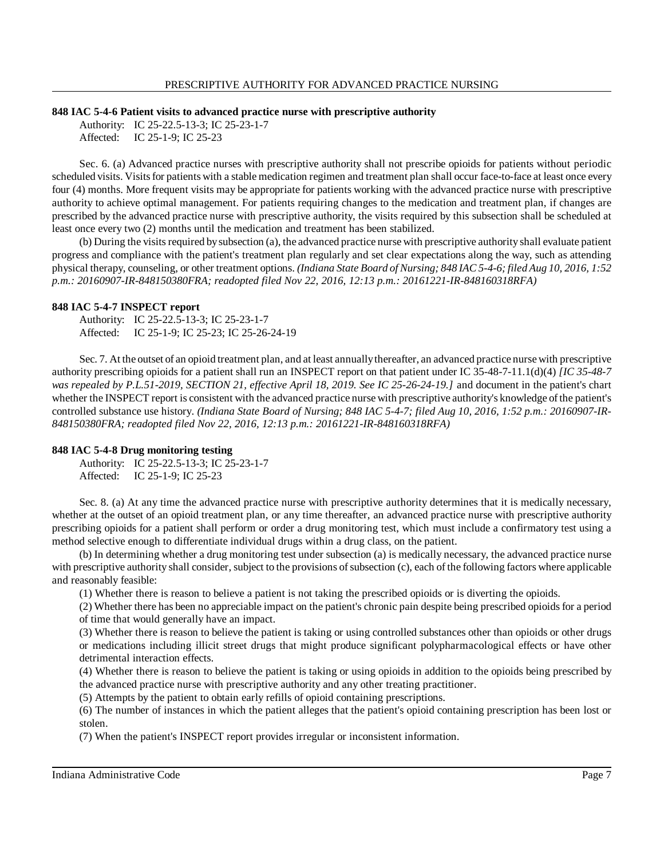#### **848 IAC 5-4-6 Patient visits to advanced practice nurse with prescriptive authority**

Authority: IC 25-22.5-13-3; IC 25-23-1-7 Affected: IC 25-1-9; IC 25-23

Sec. 6. (a) Advanced practice nurses with prescriptive authority shall not prescribe opioids for patients without periodic scheduled visits. Visits for patients with a stable medication regimen and treatment plan shall occur face-to-face at least once every four (4) months. More frequent visits may be appropriate for patients working with the advanced practice nurse with prescriptive authority to achieve optimal management. For patients requiring changes to the medication and treatment plan, if changes are prescribed by the advanced practice nurse with prescriptive authority, the visits required by this subsection shall be scheduled at least once every two (2) months until the medication and treatment has been stabilized.

(b) During the visits required by subsection (a), the advanced practice nurse with prescriptive authority shall evaluate patient progress and compliance with the patient's treatment plan regularly and set clear expectations along the way, such as attending physical therapy, counseling, or other treatment options. *(Indiana State Board of Nursing; 848 IAC 5-4-6; filed Aug 10, 2016, 1:52 p.m.: 20160907-IR-848150380FRA; readopted filed Nov 22, 2016, 12:13 p.m.: 20161221-IR-848160318RFA)*

## **848 IAC 5-4-7 INSPECT report**

Authority: IC 25-22.5-13-3; IC 25-23-1-7 Affected: IC 25-1-9; IC 25-23; IC 25-26-24-19

Sec. 7. At the outset of an opioid treatment plan, and at least annuallythereafter, an advanced practice nurse with prescriptive authority prescribing opioids for a patient shall run an INSPECT report on that patient under IC 35-48-7-11.1(d)(4) *[IC 35-48-7 was repealed by P.L.51-2019, SECTION 21, effective April 18, 2019. See IC 25-26-24-19.]* and document in the patient's chart whether the INSPECT report is consistent with the advanced practice nurse with prescriptive authority's knowledge ofthe patient's controlled substance use history. *(Indiana State Board of Nursing; 848 IAC 5-4-7; filed Aug 10, 2016, 1:52 p.m.: 20160907-IR-848150380FRA; readopted filed Nov 22, 2016, 12:13 p.m.: 20161221-IR-848160318RFA)*

## **848 IAC 5-4-8 Drug monitoring testing**

Authority: IC 25-22.5-13-3; IC 25-23-1-7 Affected: IC 25-1-9; IC 25-23

Sec. 8. (a) At any time the advanced practice nurse with prescriptive authority determines that it is medically necessary, whether at the outset of an opioid treatment plan, or any time thereafter, an advanced practice nurse with prescriptive authority prescribing opioids for a patient shall perform or order a drug monitoring test, which must include a confirmatory test using a method selective enough to differentiate individual drugs within a drug class, on the patient.

(b) In determining whether a drug monitoring test under subsection (a) is medically necessary, the advanced practice nurse with prescriptive authority shall consider, subject to the provisions of subsection (c), each of the following factors where applicable and reasonably feasible:

(1) Whether there is reason to believe a patient is not taking the prescribed opioids or is diverting the opioids.

(2) Whether there has been no appreciable impact on the patient's chronic pain despite being prescribed opioidsfor a period of time that would generally have an impact.

(3) Whether there is reason to believe the patient is taking or using controlled substances other than opioids or other drugs or medications including illicit street drugs that might produce significant polypharmacological effects or have other detrimental interaction effects.

(4) Whether there is reason to believe the patient is taking or using opioids in addition to the opioids being prescribed by the advanced practice nurse with prescriptive authority and any other treating practitioner.

(5) Attempts by the patient to obtain early refills of opioid containing prescriptions.

(6) The number of instances in which the patient alleges that the patient's opioid containing prescription has been lost or stolen.

(7) When the patient's INSPECT report provides irregular or inconsistent information.